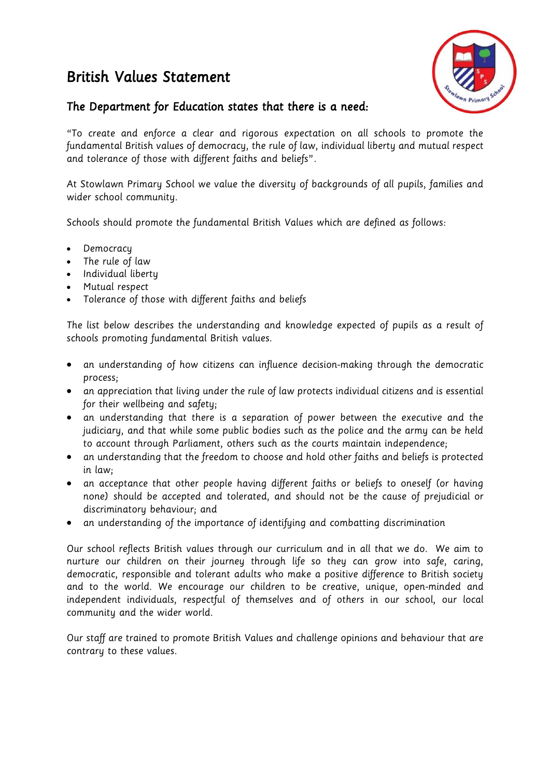## British Values Statement



## The Department for Education states that there is a need:

"To create and enforce a clear and rigorous expectation on all schools to promote the fundamental British values of democracy, the rule of law, individual liberty and mutual respect and tolerance of those with different faiths and beliefs".

At Stowlawn Primary School we value the diversity of backgrounds of all pupils, families and wider school community.

Schools should promote the fundamental British Values which are defined as follows:

- **Democracy**
- The rule of law
- Individual liberty
- Mutual respect
- Tolerance of those with different faiths and beliefs

The list below describes the understanding and knowledge expected of pupils as a result of schools promoting fundamental British values.

- an understanding of how citizens can influence decision-making through the democratic process;
- an appreciation that living under the rule of law protects individual citizens and is essential for their wellbeing and safety;
- an understanding that there is a separation of power between the executive and the judiciary, and that while some public bodies such as the police and the army can be held to account through Parliament, others such as the courts maintain independence;
- an understanding that the freedom to choose and hold other faiths and beliefs is protected in law;
- an acceptance that other people having different faiths or beliefs to oneself (or having none) should be accepted and tolerated, and should not be the cause of prejudicial or discriminatory behaviour; and
- an understanding of the importance of identifying and combatting discrimination

Our school reflects British values through our curriculum and in all that we do. We aim to nurture our children on their journey through life so they can grow into safe, caring, democratic, responsible and tolerant adults who make a positive difference to British society and to the world. We encourage our children to be creative, unique, open-minded and independent individuals, respectful of themselves and of others in our school, our local community and the wider world.

Our staff are trained to promote British Values and challenge opinions and behaviour that are contrary to these values.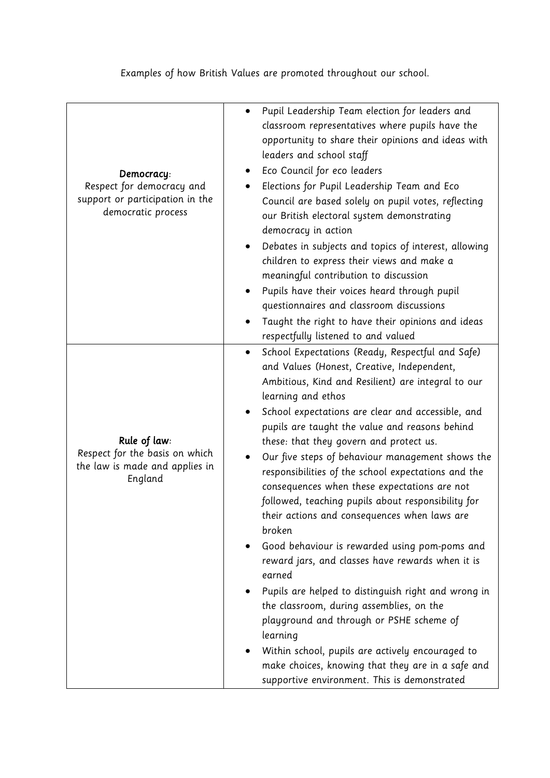Examples of how British Values are promoted throughout our school.

| Democracy:<br>Respect for democracy and<br>support or participation in the<br>democratic process | Pupil Leadership Team election for leaders and<br>classroom representatives where pupils have the<br>opportunity to share their opinions and ideas with<br>leaders and school staff<br>Eco Council for eco leaders<br>Elections for Pupil Leadership Team and Eco<br>Council are based solely on pupil votes, reflecting<br>our British electoral system demonstrating<br>democracy in action<br>Debates in subjects and topics of interest, allowing<br>children to express their views and make a<br>meaningful contribution to discussion<br>Pupils have their voices heard through pupil<br>questionnaires and classroom discussions<br>Taught the right to have their opinions and ideas<br>respectfully listened to and valued                                                                                                                                                                                                                                                                                                                                 |
|--------------------------------------------------------------------------------------------------|----------------------------------------------------------------------------------------------------------------------------------------------------------------------------------------------------------------------------------------------------------------------------------------------------------------------------------------------------------------------------------------------------------------------------------------------------------------------------------------------------------------------------------------------------------------------------------------------------------------------------------------------------------------------------------------------------------------------------------------------------------------------------------------------------------------------------------------------------------------------------------------------------------------------------------------------------------------------------------------------------------------------------------------------------------------------|
| Rule of law:<br>Respect for the basis on which<br>the law is made and applies in<br>England      | School Expectations (Ready, Respectful and Safe)<br>$\bullet$<br>and Values (Honest, Creative, Independent,<br>Ambitious, Kind and Resilient) are integral to our<br>learning and ethos<br>School expectations are clear and accessible, and<br>pupils are taught the value and reasons behind<br>these: that they govern and protect us.<br>Our five steps of behaviour management shows the<br>responsibilities of the school expectations and the<br>consequences when these expectations are not<br>followed, teaching pupils about responsibility for<br>their actions and consequences when laws are<br>broken<br>Good behaviour is rewarded using pom-poms and<br>reward jars, and classes have rewards when it is<br>earned<br>Pupils are helped to distinguish right and wrong in<br>$\bullet$<br>the classroom, during assemblies, on the<br>playground and through or PSHE scheme of<br>learning<br>Within school, pupils are actively encouraged to<br>make choices, knowing that they are in a safe and<br>supportive environment. This is demonstrated |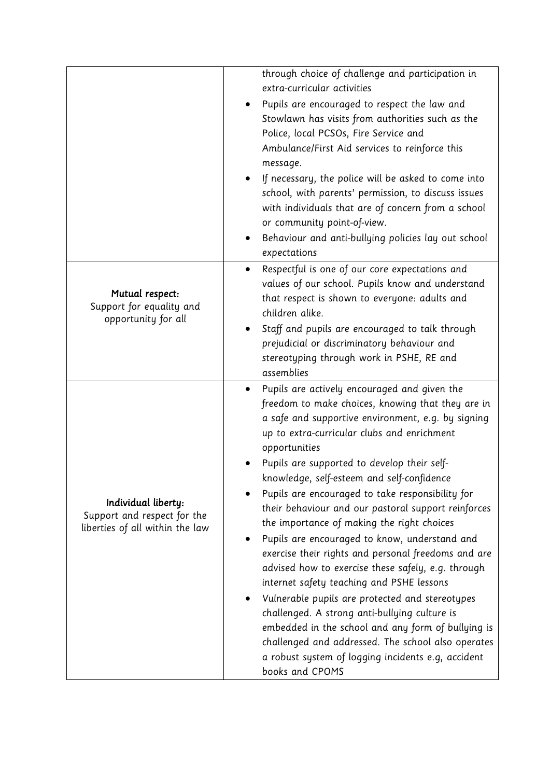|                                                                                       | through choice of challenge and participation in                                                                                                                                                                                                                                                                                                                                                                                                                                                                                                                                                                                                                                                                                                                                                                                                                                                                                                                                               |
|---------------------------------------------------------------------------------------|------------------------------------------------------------------------------------------------------------------------------------------------------------------------------------------------------------------------------------------------------------------------------------------------------------------------------------------------------------------------------------------------------------------------------------------------------------------------------------------------------------------------------------------------------------------------------------------------------------------------------------------------------------------------------------------------------------------------------------------------------------------------------------------------------------------------------------------------------------------------------------------------------------------------------------------------------------------------------------------------|
|                                                                                       | extra-curricular activities                                                                                                                                                                                                                                                                                                                                                                                                                                                                                                                                                                                                                                                                                                                                                                                                                                                                                                                                                                    |
|                                                                                       | Pupils are encouraged to respect the law and<br>Stowlawn has visits from authorities such as the<br>Police, local PCSOs, Fire Service and<br>Ambulance/First Aid services to reinforce this<br>message.<br>If necessary, the police will be asked to come into<br>school, with parents' permission, to discuss issues<br>with individuals that are of concern from a school<br>or community point-of-view.<br>Behaviour and anti-bullying policies lay out school<br>expectations                                                                                                                                                                                                                                                                                                                                                                                                                                                                                                              |
| Mutual respect:<br>Support for equality and<br>opportunity for all                    | Respectful is one of our core expectations and<br>$\bullet$<br>values of our school. Pupils know and understand<br>that respect is shown to everyone: adults and<br>children alike.<br>Staff and pupils are encouraged to talk through<br>prejudicial or discriminatory behaviour and<br>stereotyping through work in PSHE, RE and<br>assemblies                                                                                                                                                                                                                                                                                                                                                                                                                                                                                                                                                                                                                                               |
| Individual liberty:<br>Support and respect for the<br>liberties of all within the law | Pupils are actively encouraged and given the<br>$\bullet$<br>freedom to make choices, knowing that they are in<br>a safe and supportive environment, e.g. by signing<br>up to extra-curricular clubs and enrichment<br>opportunities<br>Pupils are supported to develop their self-<br>knowledge, self-esteem and self-confidence<br>Pupils are encouraged to take responsibility for<br>their behaviour and our pastoral support reinforces<br>the importance of making the right choices<br>Pupils are encouraged to know, understand and<br>exercise their rights and personal freedoms and are<br>advised how to exercise these safely, e.g. through<br>internet safety teaching and PSHE lessons<br>Vulnerable pupils are protected and stereotypes<br>challenged. A strong anti-bullying culture is<br>embedded in the school and any form of bullying is<br>challenged and addressed. The school also operates<br>a robust system of logging incidents e.g, accident<br>books and CPOMS |